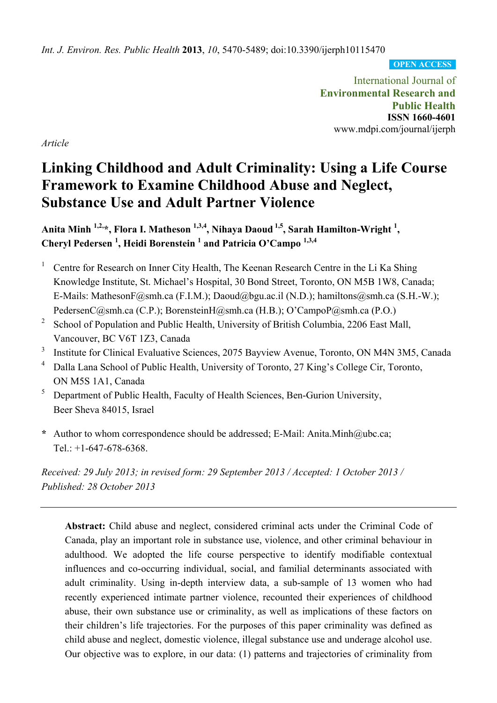*Int. J. Environ. Res. Public Health* **2013**, *10*, 5470-5489; doi:10.3390/ijerph10115470

**OPEN ACCESS**

International Journal of **Environmental Research and Public Health ISSN 1660-4601**  www.mdpi.com/journal/ijerph

*Article* 

# **Linking Childhood and Adult Criminality: Using a Life Course Framework to Examine Childhood Abuse and Neglect, Substance Use and Adult Partner Violence**

Anita Minh <sup>1,2,</sup>\*, Flora I. Matheson <sup>1,3,4</sup>, Nihaya Daoud <sup>1,5</sup>, Sarah Hamilton-Wright <sup>1</sup>, **Cheryl Pedersen 1 , Heidi Borenstein 1 and Patricia O'Campo 1,3,4**

- 1 Centre for Research on Inner City Health, The Keenan Research Centre in the Li Ka Shing Knowledge Institute, St. Michael's Hospital, 30 Bond Street, Toronto, ON M5B 1W8, Canada; E-Mails: MathesonF@smh.ca (F.I.M.); Daoud@bgu.ac.il (N.D.); hamiltons@smh.ca (S.H.-W.); PedersenC@smh.ca (C.P.); BorensteinH@smh.ca (H.B.); O'CampoP@smh.ca (P.O.)
- 2 School of Population and Public Health, University of British Columbia, 2206 East Mall, Vancouver, BC V6T 1Z3, Canada
- 3 Institute for Clinical Evaluative Sciences, 2075 Bayview Avenue, Toronto, ON M4N 3M5, Canada
- 4 Dalla Lana School of Public Health, University of Toronto, 27 King's College Cir, Toronto, ON M5S 1A1, Canada
- $5$  Department of Public Health, Faculty of Health Sciences, Ben-Gurion University, Beer Sheva 84015, Israel
- **\*** Author to whom correspondence should be addressed; E-Mail: Anita.Minh@ubc.ca; Tel.: +1-647-678-6368.

*Received: 29 July 2013; in revised form: 29 September 2013 / Accepted: 1 October 2013 / Published: 28 October 2013* 

**Abstract:** Child abuse and neglect, considered criminal acts under the Criminal Code of Canada, play an important role in substance use, violence, and other criminal behaviour in adulthood. We adopted the life course perspective to identify modifiable contextual influences and co-occurring individual, social, and familial determinants associated with adult criminality. Using in-depth interview data, a sub-sample of 13 women who had recently experienced intimate partner violence, recounted their experiences of childhood abuse, their own substance use or criminality, as well as implications of these factors on their children's life trajectories. For the purposes of this paper criminality was defined as child abuse and neglect, domestic violence, illegal substance use and underage alcohol use. Our objective was to explore, in our data: (1) patterns and trajectories of criminality from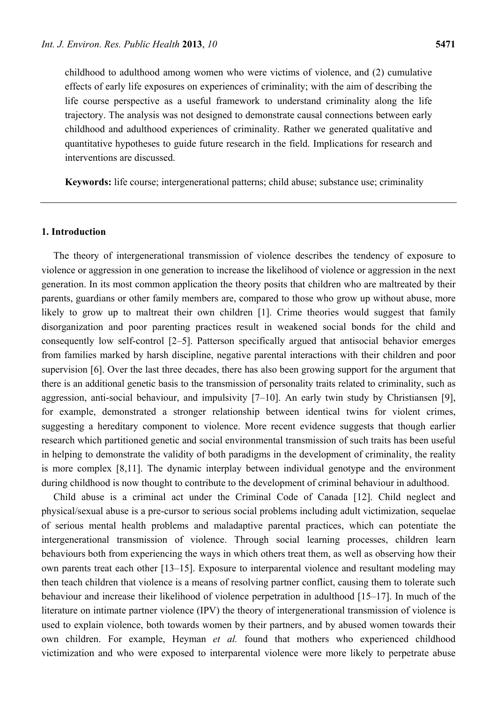childhood to adulthood among women who were victims of violence, and (2) cumulative effects of early life exposures on experiences of criminality; with the aim of describing the life course perspective as a useful framework to understand criminality along the life trajectory. The analysis was not designed to demonstrate causal connections between early childhood and adulthood experiences of criminality. Rather we generated qualitative and quantitative hypotheses to guide future research in the field. Implications for research and interventions are discussed.

**Keywords:** life course; intergenerational patterns; child abuse; substance use; criminality

## **1. Introduction**

The theory of intergenerational transmission of violence describes the tendency of exposure to violence or aggression in one generation to increase the likelihood of violence or aggression in the next generation. In its most common application the theory posits that children who are maltreated by their parents, guardians or other family members are, compared to those who grow up without abuse, more likely to grow up to maltreat their own children [1]. Crime theories would suggest that family disorganization and poor parenting practices result in weakened social bonds for the child and consequently low self-control [2–5]. Patterson specifically argued that antisocial behavior emerges from families marked by harsh discipline, negative parental interactions with their children and poor supervision [6]. Over the last three decades, there has also been growing support for the argument that there is an additional genetic basis to the transmission of personality traits related to criminality, such as aggression, anti-social behaviour, and impulsivity [7–10]. An early twin study by Christiansen [9], for example, demonstrated a stronger relationship between identical twins for violent crimes, suggesting a hereditary component to violence. More recent evidence suggests that though earlier research which partitioned genetic and social environmental transmission of such traits has been useful in helping to demonstrate the validity of both paradigms in the development of criminality, the reality is more complex [8,11]. The dynamic interplay between individual genotype and the environment during childhood is now thought to contribute to the development of criminal behaviour in adulthood.

Child abuse is a criminal act under the Criminal Code of Canada [12]. Child neglect and physical/sexual abuse is a pre-cursor to serious social problems including adult victimization, sequelae of serious mental health problems and maladaptive parental practices, which can potentiate the intergenerational transmission of violence. Through social learning processes, children learn behaviours both from experiencing the ways in which others treat them, as well as observing how their own parents treat each other [13–15]. Exposure to interparental violence and resultant modeling may then teach children that violence is a means of resolving partner conflict, causing them to tolerate such behaviour and increase their likelihood of violence perpetration in adulthood [15–17]. In much of the literature on intimate partner violence (IPV) the theory of intergenerational transmission of violence is used to explain violence, both towards women by their partners, and by abused women towards their own children. For example, Heyman *et al.* found that mothers who experienced childhood victimization and who were exposed to interparental violence were more likely to perpetrate abuse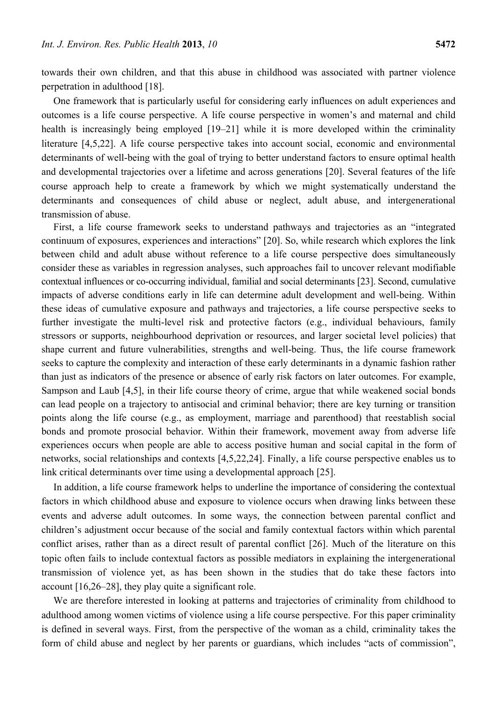towards their own children, and that this abuse in childhood was associated with partner violence perpetration in adulthood [18].

One framework that is particularly useful for considering early influences on adult experiences and outcomes is a life course perspective. A life course perspective in women's and maternal and child health is increasingly being employed [19–21] while it is more developed within the criminality literature [4,5,22]. A life course perspective takes into account social, economic and environmental determinants of well-being with the goal of trying to better understand factors to ensure optimal health and developmental trajectories over a lifetime and across generations [20]. Several features of the life course approach help to create a framework by which we might systematically understand the determinants and consequences of child abuse or neglect, adult abuse, and intergenerational transmission of abuse.

First, a life course framework seeks to understand pathways and trajectories as an "integrated continuum of exposures, experiences and interactions" [20]. So, while research which explores the link between child and adult abuse without reference to a life course perspective does simultaneously consider these as variables in regression analyses, such approaches fail to uncover relevant modifiable contextual influences or co-occurring individual, familial and social determinants [23]. Second, cumulative impacts of adverse conditions early in life can determine adult development and well-being. Within these ideas of cumulative exposure and pathways and trajectories, a life course perspective seeks to further investigate the multi-level risk and protective factors (e.g., individual behaviours, family stressors or supports, neighbourhood deprivation or resources, and larger societal level policies) that shape current and future vulnerabilities, strengths and well-being. Thus, the life course framework seeks to capture the complexity and interaction of these early determinants in a dynamic fashion rather than just as indicators of the presence or absence of early risk factors on later outcomes. For example, Sampson and Laub [4,5], in their life course theory of crime, argue that while weakened social bonds can lead people on a trajectory to antisocial and criminal behavior; there are key turning or transition points along the life course (e.g., as employment, marriage and parenthood) that reestablish social bonds and promote prosocial behavior. Within their framework, movement away from adverse life experiences occurs when people are able to access positive human and social capital in the form of networks, social relationships and contexts [4,5,22,24]. Finally, a life course perspective enables us to link critical determinants over time using a developmental approach [25].

In addition, a life course framework helps to underline the importance of considering the contextual factors in which childhood abuse and exposure to violence occurs when drawing links between these events and adverse adult outcomes. In some ways, the connection between parental conflict and children's adjustment occur because of the social and family contextual factors within which parental conflict arises, rather than as a direct result of parental conflict [26]. Much of the literature on this topic often fails to include contextual factors as possible mediators in explaining the intergenerational transmission of violence yet, as has been shown in the studies that do take these factors into account [16,26–28], they play quite a significant role.

We are therefore interested in looking at patterns and trajectories of criminality from childhood to adulthood among women victims of violence using a life course perspective. For this paper criminality is defined in several ways. First, from the perspective of the woman as a child, criminality takes the form of child abuse and neglect by her parents or guardians, which includes "acts of commission",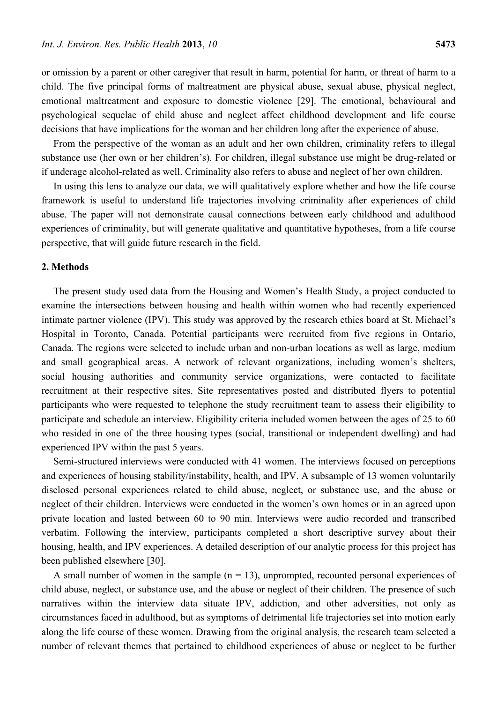or omission by a parent or other caregiver that result in harm, potential for harm, or threat of harm to a child. The five principal forms of maltreatment are physical abuse, sexual abuse, physical neglect, emotional maltreatment and exposure to domestic violence [29]. The emotional, behavioural and psychological sequelae of child abuse and neglect affect childhood development and life course decisions that have implications for the woman and her children long after the experience of abuse.

From the perspective of the woman as an adult and her own children, criminality refers to illegal substance use (her own or her children's). For children, illegal substance use might be drug-related or if underage alcohol-related as well. Criminality also refers to abuse and neglect of her own children.

In using this lens to analyze our data, we will qualitatively explore whether and how the life course framework is useful to understand life trajectories involving criminality after experiences of child abuse. The paper will not demonstrate causal connections between early childhood and adulthood experiences of criminality, but will generate qualitative and quantitative hypotheses, from a life course perspective, that will guide future research in the field.

## **2. Methods**

The present study used data from the Housing and Women's Health Study, a project conducted to examine the intersections between housing and health within women who had recently experienced intimate partner violence (IPV). This study was approved by the research ethics board at St. Michael's Hospital in Toronto, Canada. Potential participants were recruited from five regions in Ontario, Canada. The regions were selected to include urban and non-urban locations as well as large, medium and small geographical areas. A network of relevant organizations, including women's shelters, social housing authorities and community service organizations, were contacted to facilitate recruitment at their respective sites. Site representatives posted and distributed flyers to potential participants who were requested to telephone the study recruitment team to assess their eligibility to participate and schedule an interview. Eligibility criteria included women between the ages of 25 to 60 who resided in one of the three housing types (social, transitional or independent dwelling) and had experienced IPV within the past 5 years.

Semi-structured interviews were conducted with 41 women. The interviews focused on perceptions and experiences of housing stability/instability, health, and IPV. A subsample of 13 women voluntarily disclosed personal experiences related to child abuse, neglect, or substance use, and the abuse or neglect of their children. Interviews were conducted in the women's own homes or in an agreed upon private location and lasted between 60 to 90 min. Interviews were audio recorded and transcribed verbatim. Following the interview, participants completed a short descriptive survey about their housing, health, and IPV experiences. A detailed description of our analytic process for this project has been published elsewhere [30].

A small number of women in the sample  $(n = 13)$ , unprompted, recounted personal experiences of child abuse, neglect, or substance use, and the abuse or neglect of their children. The presence of such narratives within the interview data situate IPV, addiction, and other adversities, not only as circumstances faced in adulthood, but as symptoms of detrimental life trajectories set into motion early along the life course of these women. Drawing from the original analysis, the research team selected a number of relevant themes that pertained to childhood experiences of abuse or neglect to be further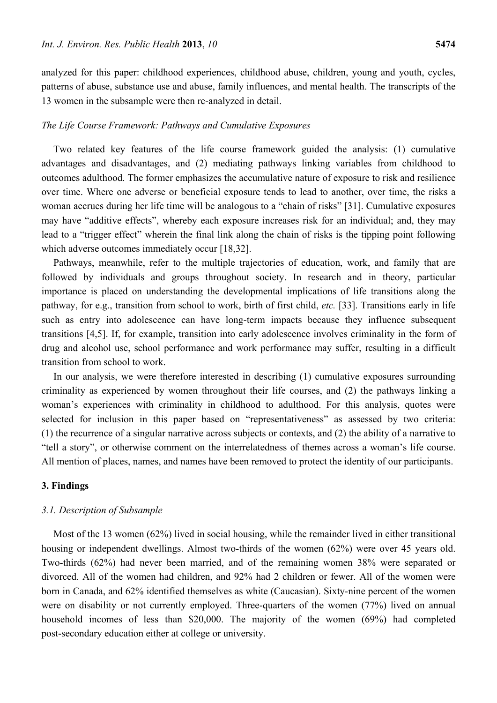analyzed for this paper: childhood experiences, childhood abuse, children, young and youth, cycles, patterns of abuse, substance use and abuse, family influences, and mental health. The transcripts of the 13 women in the subsample were then re-analyzed in detail.

## *The Life Course Framework: Pathways and Cumulative Exposures*

Two related key features of the life course framework guided the analysis: (1) cumulative advantages and disadvantages, and (2) mediating pathways linking variables from childhood to outcomes adulthood. The former emphasizes the accumulative nature of exposure to risk and resilience over time. Where one adverse or beneficial exposure tends to lead to another, over time, the risks a woman accrues during her life time will be analogous to a "chain of risks" [31]. Cumulative exposures may have "additive effects", whereby each exposure increases risk for an individual; and, they may lead to a "trigger effect" wherein the final link along the chain of risks is the tipping point following which adverse outcomes immediately occur [18,32].

Pathways, meanwhile, refer to the multiple trajectories of education, work, and family that are followed by individuals and groups throughout society. In research and in theory, particular importance is placed on understanding the developmental implications of life transitions along the pathway, for e.g., transition from school to work, birth of first child, *etc.* [33]. Transitions early in life such as entry into adolescence can have long-term impacts because they influence subsequent transitions [4,5]. If, for example, transition into early adolescence involves criminality in the form of drug and alcohol use, school performance and work performance may suffer, resulting in a difficult transition from school to work.

In our analysis, we were therefore interested in describing (1) cumulative exposures surrounding criminality as experienced by women throughout their life courses, and (2) the pathways linking a woman's experiences with criminality in childhood to adulthood. For this analysis, quotes were selected for inclusion in this paper based on "representativeness" as assessed by two criteria: (1) the recurrence of a singular narrative across subjects or contexts, and (2) the ability of a narrative to "tell a story", or otherwise comment on the interrelatedness of themes across a woman's life course. All mention of places, names, and names have been removed to protect the identity of our participants.

## **3. Findings**

## *3.1. Description of Subsample*

Most of the 13 women (62%) lived in social housing, while the remainder lived in either transitional housing or independent dwellings. Almost two-thirds of the women (62%) were over 45 years old. Two-thirds (62%) had never been married, and of the remaining women 38% were separated or divorced. All of the women had children, and 92% had 2 children or fewer. All of the women were born in Canada, and 62% identified themselves as white (Caucasian). Sixty-nine percent of the women were on disability or not currently employed. Three-quarters of the women (77%) lived on annual household incomes of less than \$20,000. The majority of the women (69%) had completed post-secondary education either at college or university.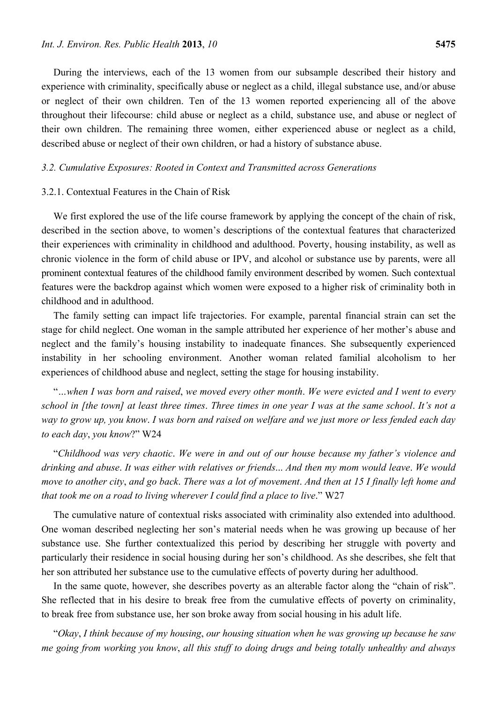During the interviews, each of the 13 women from our subsample described their history and experience with criminality, specifically abuse or neglect as a child, illegal substance use, and/or abuse or neglect of their own children. Ten of the 13 women reported experiencing all of the above throughout their lifecourse: child abuse or neglect as a child, substance use, and abuse or neglect of their own children. The remaining three women, either experienced abuse or neglect as a child, described abuse or neglect of their own children, or had a history of substance abuse.

#### *3.2. Cumulative Exposures: Rooted in Context and Transmitted across Generations*

## 3.2.1. Contextual Features in the Chain of Risk

We first explored the use of the life course framework by applying the concept of the chain of risk, described in the section above, to women's descriptions of the contextual features that characterized their experiences with criminality in childhood and adulthood. Poverty, housing instability, as well as chronic violence in the form of child abuse or IPV, and alcohol or substance use by parents, were all prominent contextual features of the childhood family environment described by women. Such contextual features were the backdrop against which women were exposed to a higher risk of criminality both in childhood and in adulthood.

The family setting can impact life trajectories. For example, parental financial strain can set the stage for child neglect. One woman in the sample attributed her experience of her mother's abuse and neglect and the family's housing instability to inadequate finances. She subsequently experienced instability in her schooling environment. Another woman related familial alcoholism to her experiences of childhood abuse and neglect, setting the stage for housing instability.

"*…when I was born and raised*, *we moved every other month*. *We were evicted and I went to every school in [the town] at least three times*. *Three times in one year I was at the same school*. *It's not a way to grow up, you know*. *I was born and raised on welfare and we just more or less fended each day to each day*, *you know*?" W24

"*Childhood was very chaotic*. *We were in and out of our house because my father's violence and drinking and abuse*. *It was either with relatives or friends*... *And then my mom would leave*. *We would move to another city*, *and go back*. *There was a lot of movement*. *And then at 15 I finally left home and that took me on a road to living wherever I could find a place to live*." W27

The cumulative nature of contextual risks associated with criminality also extended into adulthood. One woman described neglecting her son's material needs when he was growing up because of her substance use. She further contextualized this period by describing her struggle with poverty and particularly their residence in social housing during her son's childhood. As she describes, she felt that her son attributed her substance use to the cumulative effects of poverty during her adulthood.

In the same quote, however, she describes poverty as an alterable factor along the "chain of risk". She reflected that in his desire to break free from the cumulative effects of poverty on criminality, to break free from substance use, her son broke away from social housing in his adult life.

"*Okay*, *I think because of my housing*, *our housing situation when he was growing up because he saw me going from working you know*, *all this stuff to doing drugs and being totally unhealthy and always*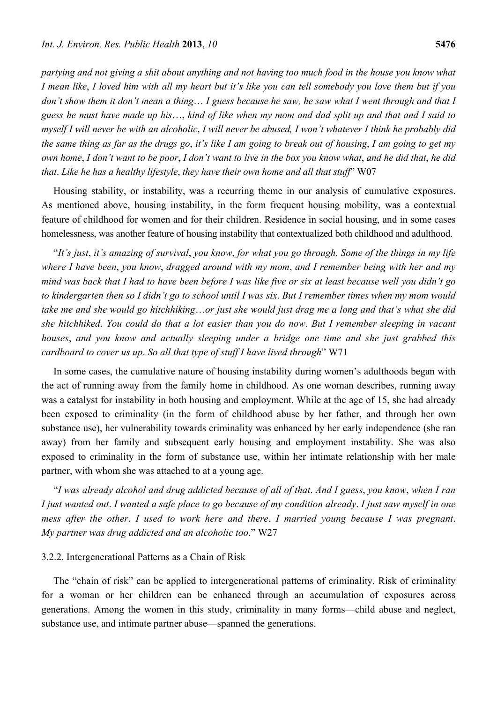*partying and not giving a shit about anything and not having too much food in the house you know what I mean like*, *I loved him with all my heart but it's like you can tell somebody you love them but if you don't show them it don't mean a thing*… *I guess because he saw, he saw what I went through and that I guess he must have made up his*…, *kind of like when my mom and dad split up and that and I said to myself I will never be with an alcoholic*, *I will never be abused, I won't whatever I think he probably did the same thing as far as the drugs go*, *it's like I am going to break out of housing*, *I am going to get my own home*, *I don't want to be poor*, *I don't want to live in the box you know what*, *and he did that*, *he did that*. *Like he has a healthy lifestyle*, *they have their own home and all that stuff*" W07

Housing stability, or instability, was a recurring theme in our analysis of cumulative exposures. As mentioned above, housing instability, in the form frequent housing mobility, was a contextual feature of childhood for women and for their children. Residence in social housing, and in some cases homelessness, was another feature of housing instability that contextualized both childhood and adulthood.

"*It's just*, *it's amazing of survival*, *you know*, *for what you go through*. *Some of the things in my life where I have been*, *you know*, *dragged around with my mom*, *and I remember being with her and my mind was back that I had to have been before I was like five or six at least because well you didn't go to kindergarten then so I didn't go to school until I was six*. *But I remember times when my mom would take me and she would go hitchhiking*…*or just she would just drag me a long and that's what she did she hitchhiked*. *You could do that a lot easier than you do now*. *But I remember sleeping in vacant houses*, *and you know and actually sleeping under a bridge one time and she just grabbed this cardboard to cover us up*. *So all that type of stuff I have lived through*" W71

In some cases, the cumulative nature of housing instability during women's adulthoods began with the act of running away from the family home in childhood. As one woman describes, running away was a catalyst for instability in both housing and employment. While at the age of 15, she had already been exposed to criminality (in the form of childhood abuse by her father, and through her own substance use), her vulnerability towards criminality was enhanced by her early independence (she ran away) from her family and subsequent early housing and employment instability. She was also exposed to criminality in the form of substance use, within her intimate relationship with her male partner, with whom she was attached to at a young age.

"*I was already alcohol and drug addicted because of all of that*. *And I guess*, *you know*, *when I ran I just wanted out*. *I wanted a safe place to go because of my condition already*. *I just saw myself in one mess after the other*. *I used to work here and there*. *I married young because I was pregnant*. *My partner was drug addicted and an alcoholic too*." W27

## 3.2.2. Intergenerational Patterns as a Chain of Risk

The "chain of risk" can be applied to intergenerational patterns of criminality. Risk of criminality for a woman or her children can be enhanced through an accumulation of exposures across generations. Among the women in this study, criminality in many forms—child abuse and neglect, substance use, and intimate partner abuse—spanned the generations.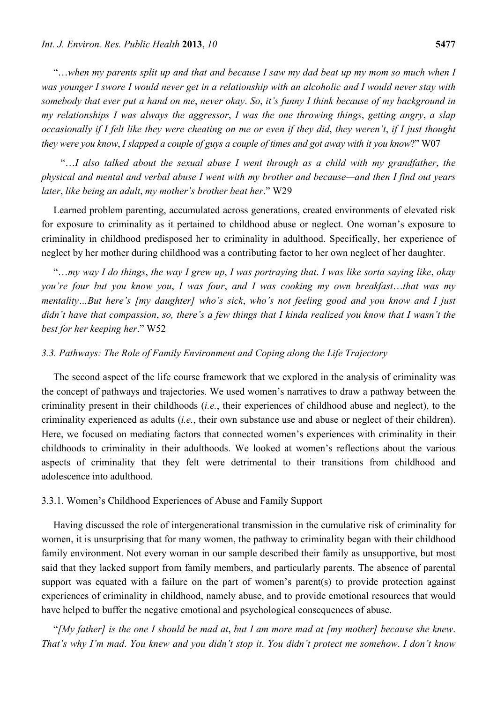"…*when my parents split up and that and because I saw my dad beat up my mom so much when I was younger I swore I would never get in a relationship with an alcoholic and I would never stay with somebody that ever put a hand on me*, *never okay*. *So*, *it's funny I think because of my background in my relationships I was always the aggressor*, *I was the one throwing things*, *getting angry*, *a slap occasionally if I felt like they were cheating on me or even if they did*, *they weren't*, *if I just thought they were you know*, *I slapped a couple of guys a couple of times and got away with it you know*?" W07

"…*I also talked about the sexual abuse I went through as a child with my grandfather*, *the physical and mental and verbal abuse I went with my brother and because—and then I find out years later*, *like being an adult*, *my mother's brother beat her*." W29

Learned problem parenting, accumulated across generations, created environments of elevated risk for exposure to criminality as it pertained to childhood abuse or neglect. One woman's exposure to criminality in childhood predisposed her to criminality in adulthood. Specifically, her experience of neglect by her mother during childhood was a contributing factor to her own neglect of her daughter.

"…*my way I do things*, *the way I grew up*, *I was portraying that*. *I was like sorta saying like*, *okay you're four but you know you*, *I was four*, *and I was cooking my own breakfast*…*that was my mentality…But here's [my daughter] who's sick*, *who's not feeling good and you know and I just didn't have that compassion*, *so, there's a few things that I kinda realized you know that I wasn't the best for her keeping her*." W52

# *3.3. Pathways: The Role of Family Environment and Coping along the Life Trajectory*

The second aspect of the life course framework that we explored in the analysis of criminality was the concept of pathways and trajectories. We used women's narratives to draw a pathway between the criminality present in their childhoods (*i.e.*, their experiences of childhood abuse and neglect), to the criminality experienced as adults (*i.e.*, their own substance use and abuse or neglect of their children). Here, we focused on mediating factors that connected women's experiences with criminality in their childhoods to criminality in their adulthoods. We looked at women's reflections about the various aspects of criminality that they felt were detrimental to their transitions from childhood and adolescence into adulthood.

# 3.3.1. Women's Childhood Experiences of Abuse and Family Support

Having discussed the role of intergenerational transmission in the cumulative risk of criminality for women, it is unsurprising that for many women, the pathway to criminality began with their childhood family environment. Not every woman in our sample described their family as unsupportive, but most said that they lacked support from family members, and particularly parents. The absence of parental support was equated with a failure on the part of women's parent(s) to provide protection against experiences of criminality in childhood, namely abuse, and to provide emotional resources that would have helped to buffer the negative emotional and psychological consequences of abuse.

"*[My father] is the one I should be mad at*, *but I am more mad at [my mother] because she knew*. *That's why I'm mad*. *You knew and you didn't stop it*. *You didn't protect me somehow*. *I don't know*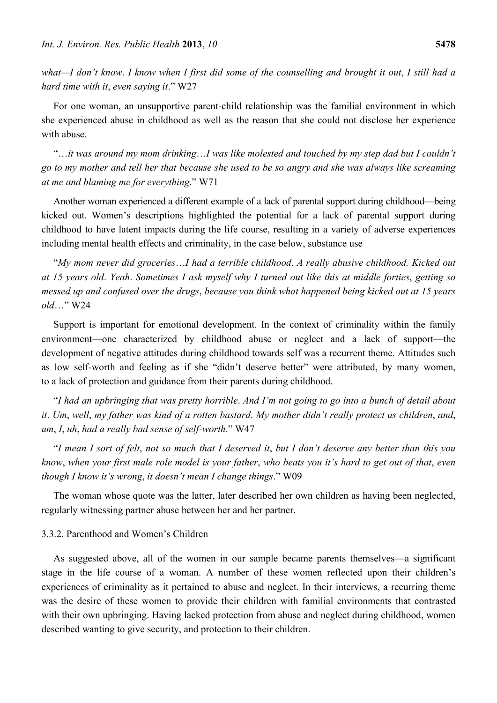*what—I don't know*. *I know when I first did some of the counselling and brought it out*, *I still had a hard time with it*, *even saying it*." W27

For one woman, an unsupportive parent-child relationship was the familial environment in which she experienced abuse in childhood as well as the reason that she could not disclose her experience with abuse.

"…*it was around my mom drinking*…*I was like molested and touched by my step dad but I couldn't go to my mother and tell her that because she used to be so angry and she was always like screaming at me and blaming me for everything*." W71

Another woman experienced a different example of a lack of parental support during childhood—being kicked out. Women's descriptions highlighted the potential for a lack of parental support during childhood to have latent impacts during the life course, resulting in a variety of adverse experiences including mental health effects and criminality, in the case below, substance use

"*My mom never did groceries*…*I had a terrible childhood*. *A really abusive childhood. Kicked out at 15 years old*. *Yeah*. *Sometimes I ask myself why I turned out like this at middle forties*, *getting so messed up and confused over the drugs*, *because you think what happened being kicked out at 15 years old*…" W24

Support is important for emotional development. In the context of criminality within the family environment—one characterized by childhood abuse or neglect and a lack of support—the development of negative attitudes during childhood towards self was a recurrent theme. Attitudes such as low self-worth and feeling as if she "didn't deserve better" were attributed, by many women, to a lack of protection and guidance from their parents during childhood.

"*I had an upbringing that was pretty horrible*. *And I'm not going to go into a bunch of detail about it*. *Um*, *well*, *my father was kind of a rotten bastard*. *My mother didn't really protect us children*, *and*, *um*, *I*, *uh*, *had a really bad sense of self-worth*." W47

"*I mean I sort of felt*, *not so much that I deserved it*, *but I don't deserve any better than this you know*, *when your first male role model is your father*, *who beats you it's hard to get out of that*, *even though I know it's wrong*, *it doesn't mean I change things*." W09

The woman whose quote was the latter, later described her own children as having been neglected, regularly witnessing partner abuse between her and her partner.

#### 3.3.2. Parenthood and Women's Children

As suggested above, all of the women in our sample became parents themselves—a significant stage in the life course of a woman. A number of these women reflected upon their children's experiences of criminality as it pertained to abuse and neglect. In their interviews, a recurring theme was the desire of these women to provide their children with familial environments that contrasted with their own upbringing. Having lacked protection from abuse and neglect during childhood, women described wanting to give security, and protection to their children.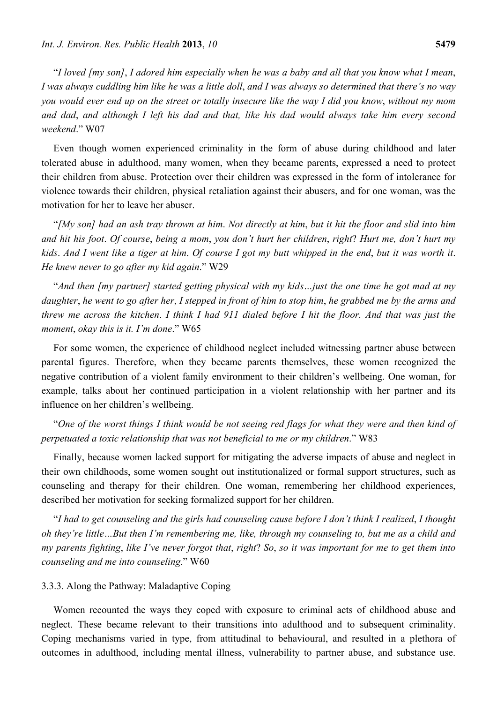"*I loved [my son]*, *I adored him especially when he was a baby and all that you know what I mean*, *I was always cuddling him like he was a little doll*, *and I was always so determined that there's no way you would ever end up on the street or totally insecure like the way I did you know*, *without my mom and dad*, *and although I left his dad and that, like his dad would always take him every second weekend*." W07

Even though women experienced criminality in the form of abuse during childhood and later tolerated abuse in adulthood, many women, when they became parents, expressed a need to protect their children from abuse. Protection over their children was expressed in the form of intolerance for violence towards their children, physical retaliation against their abusers, and for one woman, was the motivation for her to leave her abuser.

"*[My son] had an ash tray thrown at him*. *Not directly at him*, *but it hit the floor and slid into him and hit his foot*. *Of course*, *being a mom*, *you don't hurt her children*, *right*? *Hurt me, don't hurt my kids*. *And I went like a tiger at him*. *Of course I got my butt whipped in the end*, *but it was worth it*. *He knew never to go after my kid again*." W29

"*And then [my partner] started getting physical with my kids…just the one time he got mad at my daughter*, *he went to go after her*, *I stepped in front of him to stop him*, *he grabbed me by the arms and threw me across the kitchen*. *I think I had 911 dialed before I hit the floor. And that was just the moment*, *okay this is it. I'm done*." W65

For some women, the experience of childhood neglect included witnessing partner abuse between parental figures. Therefore, when they became parents themselves, these women recognized the negative contribution of a violent family environment to their children's wellbeing. One woman, for example, talks about her continued participation in a violent relationship with her partner and its influence on her children's wellbeing.

"*One of the worst things I think would be not seeing red flags for what they were and then kind of perpetuated a toxic relationship that was not beneficial to me or my children*." W83

Finally, because women lacked support for mitigating the adverse impacts of abuse and neglect in their own childhoods, some women sought out institutionalized or formal support structures, such as counseling and therapy for their children. One woman, remembering her childhood experiences, described her motivation for seeking formalized support for her children.

"*I had to get counseling and the girls had counseling cause before I don't think I realized*, *I thought oh they're little…But then I'm remembering me, like, through my counseling to, but me as a child and my parents fighting*, *like I've never forgot that*, *right*? *So*, *so it was important for me to get them into counseling and me into counseling*." W60

## 3.3.3. Along the Pathway: Maladaptive Coping

Women recounted the ways they coped with exposure to criminal acts of childhood abuse and neglect. These became relevant to their transitions into adulthood and to subsequent criminality. Coping mechanisms varied in type, from attitudinal to behavioural, and resulted in a plethora of outcomes in adulthood, including mental illness, vulnerability to partner abuse, and substance use.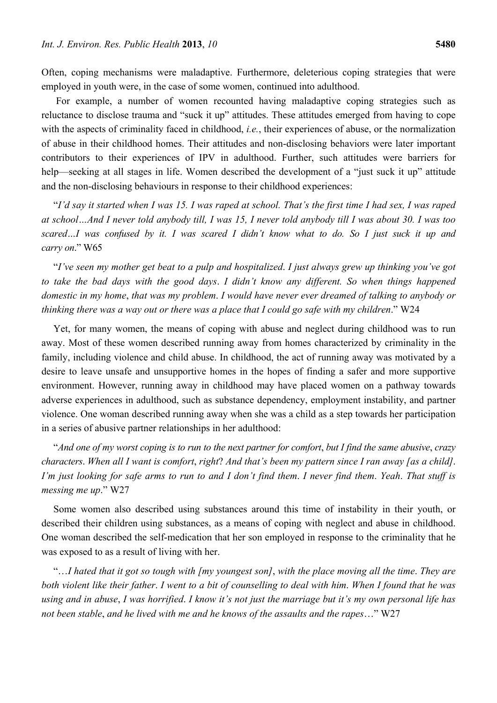Often, coping mechanisms were maladaptive. Furthermore, deleterious coping strategies that were employed in youth were, in the case of some women, continued into adulthood.

 For example, a number of women recounted having maladaptive coping strategies such as reluctance to disclose trauma and "suck it up" attitudes. These attitudes emerged from having to cope with the aspects of criminality faced in childhood, *i.e.*, their experiences of abuse, or the normalization of abuse in their childhood homes. Their attitudes and non-disclosing behaviors were later important contributors to their experiences of IPV in adulthood. Further, such attitudes were barriers for help—seeking at all stages in life. Women described the development of a "just suck it up" attitude and the non-disclosing behaviours in response to their childhood experiences:

"*I'd say it started when I was 15. I was raped at school. That's the first time I had sex, I was raped at school…And I never told anybody till, I was 15, I never told anybody till I was about 30. I was too scared…I was confused by it. I was scared I didn't know what to do. So I just suck it up and carry on*." W65

"*I've seen my mother get beat to a pulp and hospitalized*. *I just always grew up thinking you've got to take the bad days with the good days*. *I didn't know any different. So when things happened domestic in my home*, *that was my problem*. *I would have never ever dreamed of talking to anybody or thinking there was a way out or there was a place that I could go safe with my children*." W24

Yet, for many women, the means of coping with abuse and neglect during childhood was to run away. Most of these women described running away from homes characterized by criminality in the family, including violence and child abuse. In childhood, the act of running away was motivated by a desire to leave unsafe and unsupportive homes in the hopes of finding a safer and more supportive environment. However, running away in childhood may have placed women on a pathway towards adverse experiences in adulthood, such as substance dependency, employment instability, and partner violence. One woman described running away when she was a child as a step towards her participation in a series of abusive partner relationships in her adulthood:

"*And one of my worst coping is to run to the next partner for comfort*, *but I find the same abusive*, *crazy characters*. *When all I want is comfort*, *right*? *And that's been my pattern since I ran away [as a child]*. *I'm just looking for safe arms to run to and I don't find them*. *I never find them*. *Yeah*. *That stuff is messing me up*." W27

Some women also described using substances around this time of instability in their youth, or described their children using substances, as a means of coping with neglect and abuse in childhood. One woman described the self-medication that her son employed in response to the criminality that he was exposed to as a result of living with her.

"…*I hated that it got so tough with [my youngest son]*, *with the place moving all the time*. *They are both violent like their father*. *I went to a bit of counselling to deal with him*. *When I found that he was using and in abuse*, *I was horrified*. *I know it's not just the marriage but it's my own personal life has not been stable*, *and he lived with me and he knows of the assaults and the rapes*…" W27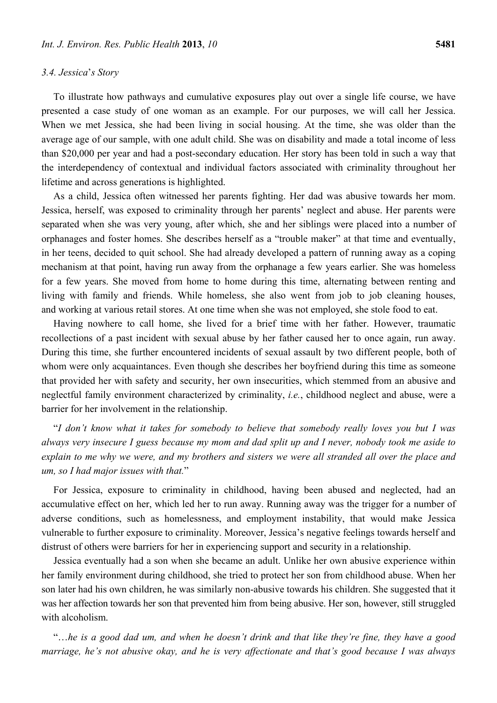To illustrate how pathways and cumulative exposures play out over a single life course, we have presented a case study of one woman as an example. For our purposes, we will call her Jessica. When we met Jessica, she had been living in social housing. At the time, she was older than the average age of our sample, with one adult child. She was on disability and made a total income of less than \$20,000 per year and had a post-secondary education. Her story has been told in such a way that the interdependency of contextual and individual factors associated with criminality throughout her lifetime and across generations is highlighted.

As a child, Jessica often witnessed her parents fighting. Her dad was abusive towards her mom. Jessica, herself, was exposed to criminality through her parents' neglect and abuse. Her parents were separated when she was very young, after which, she and her siblings were placed into a number of orphanages and foster homes. She describes herself as a "trouble maker" at that time and eventually, in her teens, decided to quit school. She had already developed a pattern of running away as a coping mechanism at that point, having run away from the orphanage a few years earlier. She was homeless for a few years. She moved from home to home during this time, alternating between renting and living with family and friends. While homeless, she also went from job to job cleaning houses, and working at various retail stores. At one time when she was not employed, she stole food to eat.

Having nowhere to call home, she lived for a brief time with her father. However, traumatic recollections of a past incident with sexual abuse by her father caused her to once again, run away. During this time, she further encountered incidents of sexual assault by two different people, both of whom were only acquaintances. Even though she describes her boyfriend during this time as someone that provided her with safety and security, her own insecurities, which stemmed from an abusive and neglectful family environment characterized by criminality, *i.e.*, childhood neglect and abuse, were a barrier for her involvement in the relationship.

"*I don't know what it takes for somebody to believe that somebody really loves you but I was always very insecure I guess because my mom and dad split up and I never, nobody took me aside to explain to me why we were, and my brothers and sisters we were all stranded all over the place and um, so I had major issues with that.*"

For Jessica, exposure to criminality in childhood, having been abused and neglected, had an accumulative effect on her, which led her to run away. Running away was the trigger for a number of adverse conditions, such as homelessness, and employment instability, that would make Jessica vulnerable to further exposure to criminality. Moreover, Jessica's negative feelings towards herself and distrust of others were barriers for her in experiencing support and security in a relationship.

Jessica eventually had a son when she became an adult. Unlike her own abusive experience within her family environment during childhood, she tried to protect her son from childhood abuse. When her son later had his own children, he was similarly non-abusive towards his children. She suggested that it was her affection towards her son that prevented him from being abusive. Her son, however, still struggled with alcoholism.

"…*he is a good dad um, and when he doesn't drink and that like they're fine, they have a good marriage, he's not abusive okay, and he is very affectionate and that's good because I was always*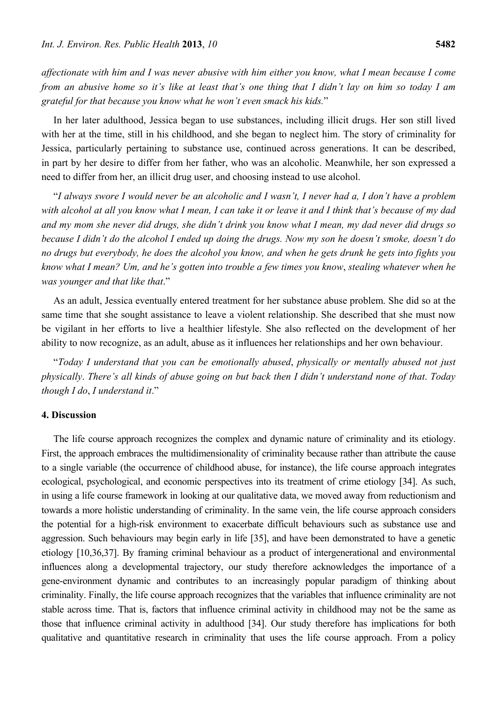*affectionate with him and I was never abusive with him either you know, what I mean because I come from an abusive home so it's like at least that's one thing that I didn't lay on him so today I am grateful for that because you know what he won't even smack his kids.*"

In her later adulthood, Jessica began to use substances, including illicit drugs. Her son still lived with her at the time, still in his childhood, and she began to neglect him. The story of criminality for Jessica, particularly pertaining to substance use, continued across generations. It can be described, in part by her desire to differ from her father, who was an alcoholic. Meanwhile, her son expressed a need to differ from her, an illicit drug user, and choosing instead to use alcohol.

"*I always swore I would never be an alcoholic and I wasn't, I never had a, I don't have a problem with alcohol at all you know what I mean, I can take it or leave it and I think that's because of my dad and my mom she never did drugs, she didn't drink you know what I mean, my dad never did drugs so because I didn't do the alcohol I ended up doing the drugs. Now my son he doesn't smoke, doesn't do no drugs but everybody, he does the alcohol you know, and when he gets drunk he gets into fights you know what I mean? Um, and he's gotten into trouble a few times you know*, *stealing whatever when he was younger and that like that*."

As an adult, Jessica eventually entered treatment for her substance abuse problem. She did so at the same time that she sought assistance to leave a violent relationship. She described that she must now be vigilant in her efforts to live a healthier lifestyle. She also reflected on the development of her ability to now recognize, as an adult, abuse as it influences her relationships and her own behaviour.

"*Today I understand that you can be emotionally abused*, *physically or mentally abused not just physically*. *There's all kinds of abuse going on but back then I didn't understand none of that*. *Today though I do*, *I understand it*."

## **4. Discussion**

The life course approach recognizes the complex and dynamic nature of criminality and its etiology. First, the approach embraces the multidimensionality of criminality because rather than attribute the cause to a single variable (the occurrence of childhood abuse, for instance), the life course approach integrates ecological, psychological, and economic perspectives into its treatment of crime etiology [34]. As such, in using a life course framework in looking at our qualitative data, we moved away from reductionism and towards a more holistic understanding of criminality. In the same vein, the life course approach considers the potential for a high-risk environment to exacerbate difficult behaviours such as substance use and aggression. Such behaviours may begin early in life [35], and have been demonstrated to have a genetic etiology [10,36,37]. By framing criminal behaviour as a product of intergenerational and environmental influences along a developmental trajectory, our study therefore acknowledges the importance of a gene-environment dynamic and contributes to an increasingly popular paradigm of thinking about criminality. Finally, the life course approach recognizes that the variables that influence criminality are not stable across time. That is, factors that influence criminal activity in childhood may not be the same as those that influence criminal activity in adulthood [34]. Our study therefore has implications for both qualitative and quantitative research in criminality that uses the life course approach. From a policy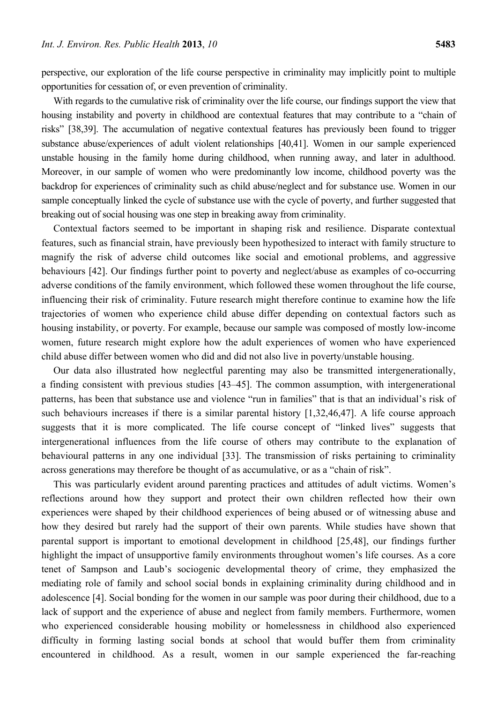perspective, our exploration of the life course perspective in criminality may implicitly point to multiple opportunities for cessation of, or even prevention of criminality.

With regards to the cumulative risk of criminality over the life course, our findings support the view that housing instability and poverty in childhood are contextual features that may contribute to a "chain of risks" [38,39]. The accumulation of negative contextual features has previously been found to trigger substance abuse/experiences of adult violent relationships [40,41]. Women in our sample experienced unstable housing in the family home during childhood, when running away, and later in adulthood. Moreover, in our sample of women who were predominantly low income, childhood poverty was the backdrop for experiences of criminality such as child abuse/neglect and for substance use. Women in our sample conceptually linked the cycle of substance use with the cycle of poverty, and further suggested that breaking out of social housing was one step in breaking away from criminality.

Contextual factors seemed to be important in shaping risk and resilience. Disparate contextual features, such as financial strain, have previously been hypothesized to interact with family structure to magnify the risk of adverse child outcomes like social and emotional problems, and aggressive behaviours [42]. Our findings further point to poverty and neglect/abuse as examples of co-occurring adverse conditions of the family environment, which followed these women throughout the life course, influencing their risk of criminality. Future research might therefore continue to examine how the life trajectories of women who experience child abuse differ depending on contextual factors such as housing instability, or poverty. For example, because our sample was composed of mostly low-income women, future research might explore how the adult experiences of women who have experienced child abuse differ between women who did and did not also live in poverty/unstable housing.

Our data also illustrated how neglectful parenting may also be transmitted intergenerationally, a finding consistent with previous studies [43–45]. The common assumption, with intergenerational patterns, has been that substance use and violence "run in families" that is that an individual's risk of such behaviours increases if there is a similar parental history [1,32,46,47]. A life course approach suggests that it is more complicated. The life course concept of "linked lives" suggests that intergenerational influences from the life course of others may contribute to the explanation of behavioural patterns in any one individual [33]. The transmission of risks pertaining to criminality across generations may therefore be thought of as accumulative, or as a "chain of risk".

This was particularly evident around parenting practices and attitudes of adult victims. Women's reflections around how they support and protect their own children reflected how their own experiences were shaped by their childhood experiences of being abused or of witnessing abuse and how they desired but rarely had the support of their own parents. While studies have shown that parental support is important to emotional development in childhood [25,48], our findings further highlight the impact of unsupportive family environments throughout women's life courses. As a core tenet of Sampson and Laub's sociogenic developmental theory of crime, they emphasized the mediating role of family and school social bonds in explaining criminality during childhood and in adolescence [4]. Social bonding for the women in our sample was poor during their childhood, due to a lack of support and the experience of abuse and neglect from family members. Furthermore, women who experienced considerable housing mobility or homelessness in childhood also experienced difficulty in forming lasting social bonds at school that would buffer them from criminality encountered in childhood. As a result, women in our sample experienced the far-reaching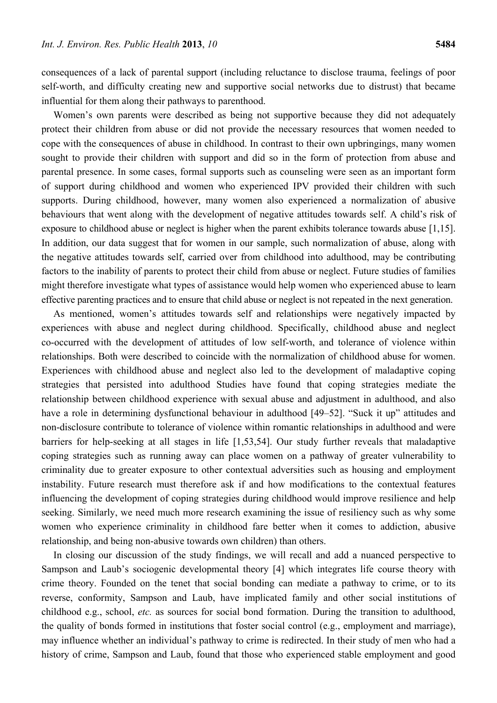consequences of a lack of parental support (including reluctance to disclose trauma, feelings of poor self-worth, and difficulty creating new and supportive social networks due to distrust) that became influential for them along their pathways to parenthood.

Women's own parents were described as being not supportive because they did not adequately protect their children from abuse or did not provide the necessary resources that women needed to cope with the consequences of abuse in childhood. In contrast to their own upbringings, many women sought to provide their children with support and did so in the form of protection from abuse and parental presence. In some cases, formal supports such as counseling were seen as an important form of support during childhood and women who experienced IPV provided their children with such supports. During childhood, however, many women also experienced a normalization of abusive behaviours that went along with the development of negative attitudes towards self. A child's risk of exposure to childhood abuse or neglect is higher when the parent exhibits tolerance towards abuse [1,15]. In addition, our data suggest that for women in our sample, such normalization of abuse, along with the negative attitudes towards self, carried over from childhood into adulthood, may be contributing factors to the inability of parents to protect their child from abuse or neglect. Future studies of families might therefore investigate what types of assistance would help women who experienced abuse to learn effective parenting practices and to ensure that child abuse or neglect is not repeated in the next generation.

As mentioned, women's attitudes towards self and relationships were negatively impacted by experiences with abuse and neglect during childhood. Specifically, childhood abuse and neglect co-occurred with the development of attitudes of low self-worth, and tolerance of violence within relationships. Both were described to coincide with the normalization of childhood abuse for women. Experiences with childhood abuse and neglect also led to the development of maladaptive coping strategies that persisted into adulthood Studies have found that coping strategies mediate the relationship between childhood experience with sexual abuse and adjustment in adulthood, and also have a role in determining dysfunctional behaviour in adulthood [49–52]. "Suck it up" attitudes and non-disclosure contribute to tolerance of violence within romantic relationships in adulthood and were barriers for help-seeking at all stages in life [1,53,54]. Our study further reveals that maladaptive coping strategies such as running away can place women on a pathway of greater vulnerability to criminality due to greater exposure to other contextual adversities such as housing and employment instability. Future research must therefore ask if and how modifications to the contextual features influencing the development of coping strategies during childhood would improve resilience and help seeking. Similarly, we need much more research examining the issue of resiliency such as why some women who experience criminality in childhood fare better when it comes to addiction, abusive relationship, and being non-abusive towards own children) than others.

In closing our discussion of the study findings, we will recall and add a nuanced perspective to Sampson and Laub's sociogenic developmental theory [4] which integrates life course theory with crime theory. Founded on the tenet that social bonding can mediate a pathway to crime, or to its reverse, conformity, Sampson and Laub, have implicated family and other social institutions of childhood e.g., school, *etc.* as sources for social bond formation. During the transition to adulthood, the quality of bonds formed in institutions that foster social control (e.g., employment and marriage), may influence whether an individual's pathway to crime is redirected. In their study of men who had a history of crime, Sampson and Laub, found that those who experienced stable employment and good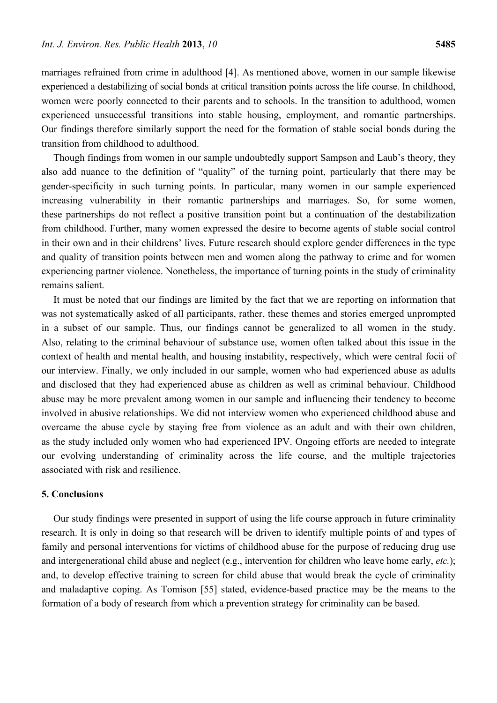marriages refrained from crime in adulthood [4]. As mentioned above, women in our sample likewise experienced a destabilizing of social bonds at critical transition points across the life course. In childhood, women were poorly connected to their parents and to schools. In the transition to adulthood, women experienced unsuccessful transitions into stable housing, employment, and romantic partnerships. Our findings therefore similarly support the need for the formation of stable social bonds during the transition from childhood to adulthood.

Though findings from women in our sample undoubtedly support Sampson and Laub's theory, they also add nuance to the definition of "quality" of the turning point, particularly that there may be gender-specificity in such turning points. In particular, many women in our sample experienced increasing vulnerability in their romantic partnerships and marriages. So, for some women, these partnerships do not reflect a positive transition point but a continuation of the destabilization from childhood. Further, many women expressed the desire to become agents of stable social control in their own and in their childrens' lives. Future research should explore gender differences in the type and quality of transition points between men and women along the pathway to crime and for women experiencing partner violence. Nonetheless, the importance of turning points in the study of criminality remains salient.

It must be noted that our findings are limited by the fact that we are reporting on information that was not systematically asked of all participants, rather, these themes and stories emerged unprompted in a subset of our sample. Thus, our findings cannot be generalized to all women in the study. Also, relating to the criminal behaviour of substance use, women often talked about this issue in the context of health and mental health, and housing instability, respectively, which were central focii of our interview. Finally, we only included in our sample, women who had experienced abuse as adults and disclosed that they had experienced abuse as children as well as criminal behaviour. Childhood abuse may be more prevalent among women in our sample and influencing their tendency to become involved in abusive relationships. We did not interview women who experienced childhood abuse and overcame the abuse cycle by staying free from violence as an adult and with their own children, as the study included only women who had experienced IPV. Ongoing efforts are needed to integrate our evolving understanding of criminality across the life course, and the multiple trajectories associated with risk and resilience.

## **5. Conclusions**

Our study findings were presented in support of using the life course approach in future criminality research. It is only in doing so that research will be driven to identify multiple points of and types of family and personal interventions for victims of childhood abuse for the purpose of reducing drug use and intergenerational child abuse and neglect (e.g., intervention for children who leave home early, *etc.*); and, to develop effective training to screen for child abuse that would break the cycle of criminality and maladaptive coping. As Tomison [55] stated, evidence-based practice may be the means to the formation of a body of research from which a prevention strategy for criminality can be based.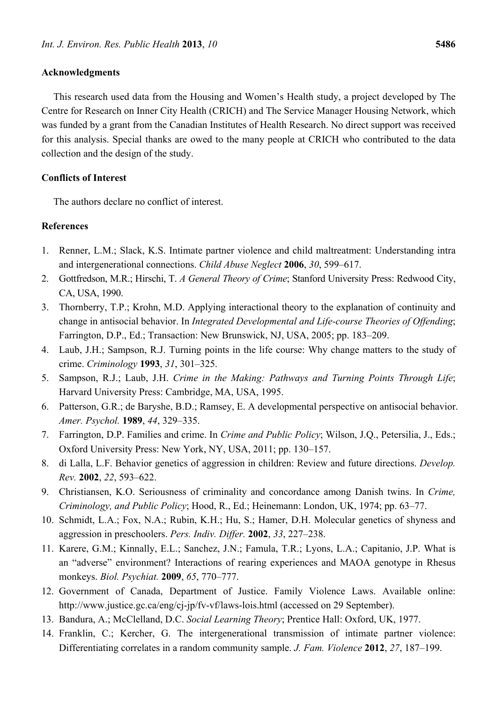### **Acknowledgments**

This research used data from the Housing and Women's Health study, a project developed by The Centre for Research on Inner City Health (CRICH) and The Service Manager Housing Network, which was funded by a grant from the Canadian Institutes of Health Research. No direct support was received for this analysis. Special thanks are owed to the many people at CRICH who contributed to the data collection and the design of the study.

## **Conflicts of Interest**

The authors declare no conflict of interest.

## **References**

- 1. Renner, L.M.; Slack, K.S. Intimate partner violence and child maltreatment: Understanding intra and intergenerational connections. *Child Abuse Neglect* **2006**, *30*, 599–617.
- 2. Gottfredson, M.R.; Hirschi, T. *A General Theory of Crime*; Stanford University Press: Redwood City, CA, USA, 1990.
- 3. Thornberry, T.P.; Krohn, M.D. Applying interactional theory to the explanation of continuity and change in antisocial behavior. In *Integrated Developmental and Life-course Theories of Offending*; Farrington, D.P., Ed.; Transaction: New Brunswick, NJ, USA, 2005; pp. 183–209.
- 4. Laub, J.H.; Sampson, R.J. Turning points in the life course: Why change matters to the study of crime. *Criminology* **1993**, *31*, 301–325.
- 5. Sampson, R.J.; Laub, J.H. *Crime in the Making: Pathways and Turning Points Through Life*; Harvard University Press: Cambridge, MA, USA, 1995.
- 6. Patterson, G.R.; de Baryshe, B.D.; Ramsey, E. A developmental perspective on antisocial behavior. *Amer. Psychol.* **1989**, *44*, 329–335.
- 7. Farrington, D.P. Families and crime. In *Crime and Public Policy*; Wilson, J.Q., Petersilia, J., Eds.; Oxford University Press: New York, NY, USA, 2011; pp. 130–157.
- 8. di Lalla, L.F. Behavior genetics of aggression in children: Review and future directions. *Develop. Rev.* **2002**, *22*, 593–622.
- 9. Christiansen, K.O. Seriousness of criminality and concordance among Danish twins. In *Crime, Criminology, and Public Policy*; Hood, R., Ed.; Heinemann: London, UK, 1974; pp. 63–77.
- 10. Schmidt, L.A.; Fox, N.A.; Rubin, K.H.; Hu, S.; Hamer, D.H. Molecular genetics of shyness and aggression in preschoolers. *Pers. Indiv. Differ.* **2002**, *33*, 227–238.
- 11. Karere, G.M.; Kinnally, E.L.; Sanchez, J.N.; Famula, T.R.; Lyons, L.A.; Capitanio, J.P. What is an "adverse" environment? Interactions of rearing experiences and MAOA genotype in Rhesus monkeys. *Biol. Psychiat.* **2009**, *65*, 770–777.
- 12. Government of Canada, Department of Justice. Family Violence Laws. Available online: http://www.justice.gc.ca/eng/cj-jp/fv-vf/laws-lois.html (accessed on 29 September).
- 13. Bandura, A.; McClelland, D.C. *Social Learning Theory*; Prentice Hall: Oxford, UK, 1977.
- 14. Franklin, C.; Kercher, G. The intergenerational transmission of intimate partner violence: Differentiating correlates in a random community sample. *J. Fam. Violence* **2012**, *27*, 187–199.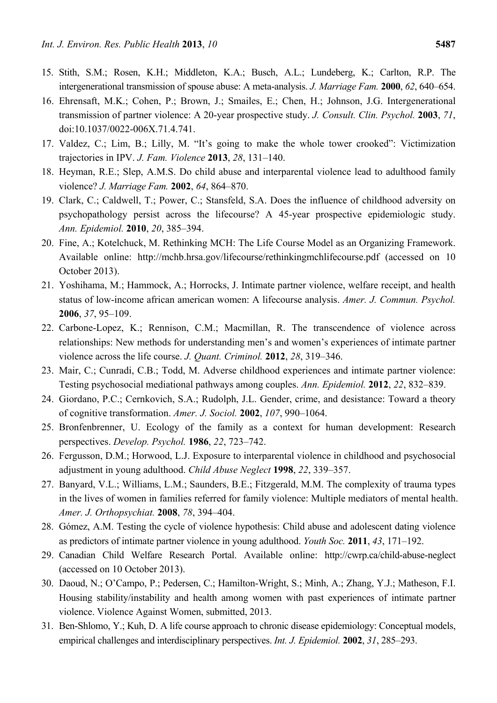- 15. Stith, S.M.; Rosen, K.H.; Middleton, K.A.; Busch, A.L.; Lundeberg, K.; Carlton, R.P. The intergenerational transmission of spouse abuse: A meta-analysis. *J. Marriage Fam.* **2000**, *62*, 640–654.
- 16. Ehrensaft, M.K.; Cohen, P.; Brown, J.; Smailes, E.; Chen, H.; Johnson, J.G. Intergenerational transmission of partner violence: A 20-year prospective study. *J. Consult. Clin. Psychol.* **2003**, *71*, doi:10.1037/0022-006X.71.4.741.
- 17. Valdez, C.; Lim, B.; Lilly, M. "It's going to make the whole tower crooked": Victimization trajectories in IPV. *J. Fam. Violence* **2013**, *28*, 131–140.
- 18. Heyman, R.E.; Slep, A.M.S. Do child abuse and interparental violence lead to adulthood family violence? *J. Marriage Fam.* **2002**, *64*, 864–870.
- 19. Clark, C.; Caldwell, T.; Power, C.; Stansfeld, S.A. Does the influence of childhood adversity on psychopathology persist across the lifecourse? A 45-year prospective epidemiologic study. *Ann. Epidemiol.* **2010**, *20*, 385–394.
- 20. Fine, A.; Kotelchuck, M. Rethinking MCH: The Life Course Model as an Organizing Framework. Available online: http://mchb.hrsa.gov/lifecourse/rethinkingmchlifecourse.pdf (accessed on 10 October 2013).
- 21. Yoshihama, M.; Hammock, A.; Horrocks, J. Intimate partner violence, welfare receipt, and health status of low-income african american women: A lifecourse analysis. *Amer. J. Commun. Psychol.*  **2006**, *37*, 95–109.
- 22. Carbone-Lopez, K.; Rennison, C.M.; Macmillan, R. The transcendence of violence across relationships: New methods for understanding men's and women's experiences of intimate partner violence across the life course. *J. Quant. Criminol.* **2012**, *28*, 319–346.
- 23. Mair, C.; Cunradi, C.B.; Todd, M. Adverse childhood experiences and intimate partner violence: Testing psychosocial mediational pathways among couples. *Ann. Epidemiol.* **2012**, *22*, 832–839.
- 24. Giordano, P.C.; Cernkovich, S.A.; Rudolph, J.L. Gender, crime, and desistance: Toward a theory of cognitive transformation. *Amer. J. Sociol.* **2002**, *107*, 990–1064.
- 25. Bronfenbrenner, U. Ecology of the family as a context for human development: Research perspectives. *Develop. Psychol.* **1986**, *22*, 723–742.
- 26. Fergusson, D.M.; Horwood, L.J. Exposure to interparental violence in childhood and psychosocial adjustment in young adulthood. *Child Abuse Neglect* **1998**, *22*, 339–357.
- 27. Banyard, V.L.; Williams, L.M.; Saunders, B.E.; Fitzgerald, M.M. The complexity of trauma types in the lives of women in families referred for family violence: Multiple mediators of mental health. *Amer. J. Orthopsychiat.* **2008**, *78*, 394–404.
- 28. Gómez, A.M. Testing the cycle of violence hypothesis: Child abuse and adolescent dating violence as predictors of intimate partner violence in young adulthood. *Youth Soc.* **2011**, *43*, 171–192.
- 29. Canadian Child Welfare Research Portal. Available online: http://cwrp.ca/child-abuse-neglect (accessed on 10 October 2013).
- 30. Daoud, N.; O'Campo, P.; Pedersen, C.; Hamilton-Wright, S.; Minh, A.; Zhang, Y.J.; Matheson, F.I. Housing stability/instability and health among women with past experiences of intimate partner violence. Violence Against Women, submitted, 2013.
- 31. Ben-Shlomo, Y.; Kuh, D. A life course approach to chronic disease epidemiology: Conceptual models, empirical challenges and interdisciplinary perspectives. *Int. J. Epidemiol.* **2002**, *31*, 285–293.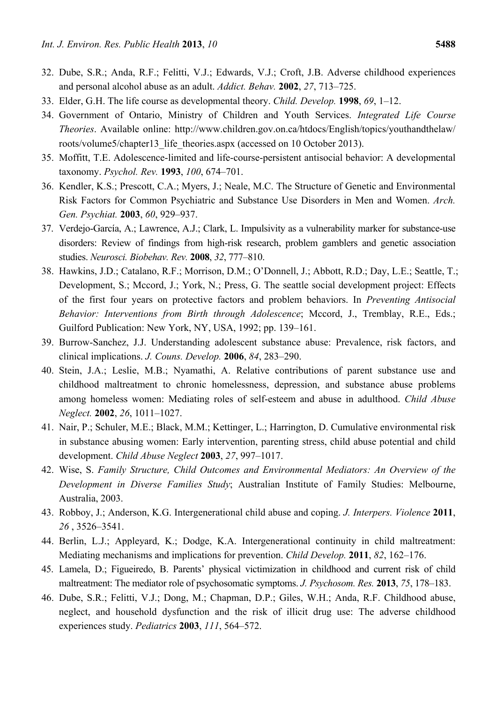- 32. Dube, S.R.; Anda, R.F.; Felitti, V.J.; Edwards, V.J.; Croft, J.B. Adverse childhood experiences and personal alcohol abuse as an adult. *Addict. Behav.* **2002**, *27*, 713–725.
- 33. Elder, G.H. The life course as developmental theory. *Child. Develop.* **1998**, *69*, 1–12.
- 34. Government of Ontario, Ministry of Children and Youth Services. *Integrated Life Course Theories*. Available online: http://www.children.gov.on.ca/htdocs/English/topics/youthandthelaw/ roots/volume5/chapter13 life theories.aspx (accessed on 10 October 2013).
- 35. Moffitt, T.E. Adolescence-limited and life-course-persistent antisocial behavior: A developmental taxonomy. *Psychol. Rev.* **1993**, *100*, 674–701.
- 36. Kendler, K.S.; Prescott, C.A.; Myers, J.; Neale, M.C. The Structure of Genetic and Environmental Risk Factors for Common Psychiatric and Substance Use Disorders in Men and Women. *Arch. Gen. Psychiat.* **2003**, *60*, 929–937.
- 37. Verdejo-García, A.; Lawrence, A.J.; Clark, L. Impulsivity as a vulnerability marker for substance-use disorders: Review of findings from high-risk research, problem gamblers and genetic association studies. *Neurosci. Biobehav. Rev.* **2008**, *32*, 777–810.
- 38. Hawkins, J.D.; Catalano, R.F.; Morrison, D.M.; O'Donnell, J.; Abbott, R.D.; Day, L.E.; Seattle, T.; Development, S.; Mccord, J.; York, N.; Press, G. The seattle social development project: Effects of the first four years on protective factors and problem behaviors. In *Preventing Antisocial Behavior: Interventions from Birth through Adolescence*; Mccord, J., Tremblay, R.E., Eds.; Guilford Publication: New York, NY, USA, 1992; pp. 139–161.
- 39. Burrow-Sanchez, J.J. Understanding adolescent substance abuse: Prevalence, risk factors, and clinical implications. *J. Couns. Develop.* **2006**, *84*, 283–290.
- 40. Stein, J.A.; Leslie, M.B.; Nyamathi, A. Relative contributions of parent substance use and childhood maltreatment to chronic homelessness, depression, and substance abuse problems among homeless women: Mediating roles of self-esteem and abuse in adulthood. *Child Abuse Neglect.* **2002**, *26*, 1011–1027.
- 41. Nair, P.; Schuler, M.E.; Black, M.M.; Kettinger, L.; Harrington, D. Cumulative environmental risk in substance abusing women: Early intervention, parenting stress, child abuse potential and child development. *Child Abuse Neglect* **2003**, *27*, 997–1017.
- 42. Wise, S. *Family Structure, Child Outcomes and Environmental Mediators: An Overview of the Development in Diverse Families Study*; Australian Institute of Family Studies: Melbourne, Australia, 2003.
- 43. Robboy, J.; Anderson, K.G. Intergenerational child abuse and coping. *J. Interpers. Violence* **2011**, *26* , 3526–3541.
- 44. Berlin, L.J.; Appleyard, K.; Dodge, K.A. Intergenerational continuity in child maltreatment: Mediating mechanisms and implications for prevention. *Child Develop.* **2011**, *82*, 162–176.
- 45. Lamela, D.; Figueiredo, B. Parents' physical victimization in childhood and current risk of child maltreatment: The mediator role of psychosomatic symptoms. *J. Psychosom. Res.* **2013**, *75*, 178–183.
- 46. Dube, S.R.; Felitti, V.J.; Dong, M.; Chapman, D.P.; Giles, W.H.; Anda, R.F. Childhood abuse, neglect, and household dysfunction and the risk of illicit drug use: The adverse childhood experiences study. *Pediatrics* **2003**, *111*, 564–572.